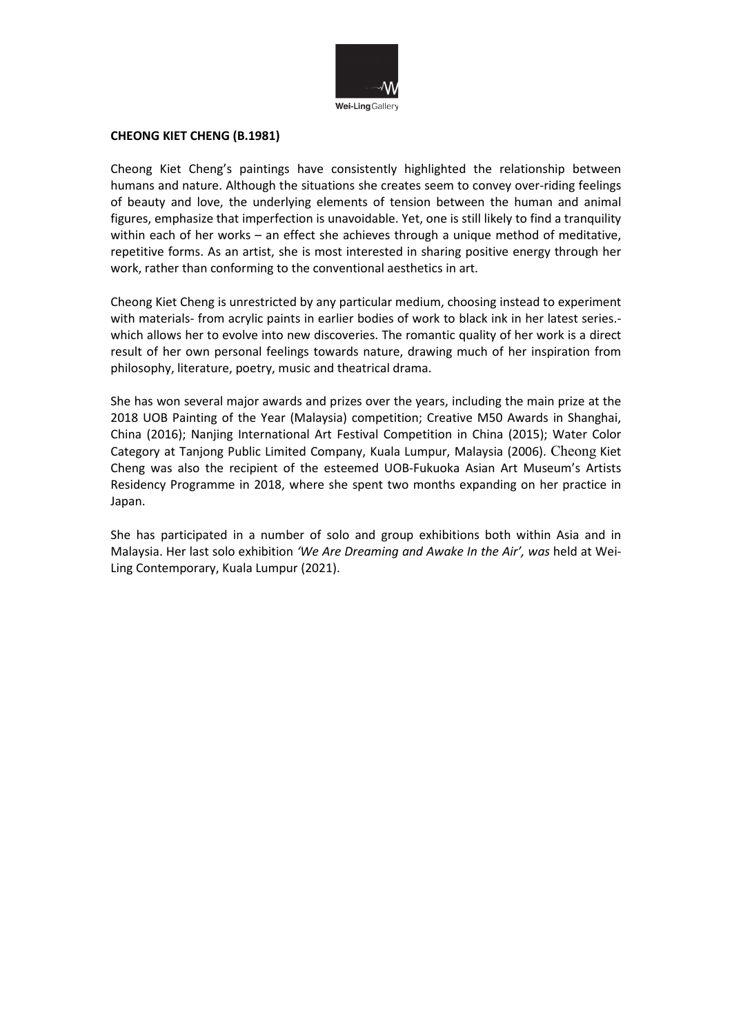

#### **CHEONG KIET CHENG (B.1981)**

Cheong Kiet Cheng's paintings have consistently highlighted the relationship between humans and nature. Although the situations she creates seem to convey over-riding feelings of beauty and love, the underlying elements of tension between the human and animal figures, emphasize that imperfection is unavoidable. Yet, one is still likely to find a tranquility within each of her works – an effect she achieves through a unique method of meditative, repetitive forms. As an artist, she is most interested in sharing positive energy through her work, rather than conforming to the conventional aesthetics in art.

Cheong Kiet Cheng is unrestricted by any particular medium, choosing instead to experiment with materials- from acrylic paints in earlier bodies of work to black ink in her latest series. which allows her to evolve into new discoveries. The romantic quality of her work is a direct result of her own personal feelings towards nature, drawing much of her inspiration from philosophy, literature, poetry, music and theatrical drama.

She has won several major awards and prizes over the years, including the main prize at the 2018 UOB Painting of the Year (Malaysia) competition; Creative M50 Awards in Shanghai, China (2016); Nanjing International Art Festival Competition in China (2015); Water Color Category at Tanjong Public Limited Company, Kuala Lumpur, Malaysia (2006). Cheong Kiet Cheng was also the recipient of the esteemed UOB-Fukuoka Asian Art Museum's Artists Residency Programme in 2018, where she spent two months expanding on her practice in Japan.

She has participated in a number of solo and group exhibitions both within Asia and in Malaysia. Her last solo exhibition *'We Are Dreaming and Awake In the Air', was* held at Wei-Ling Contemporary, Kuala Lumpur (2021).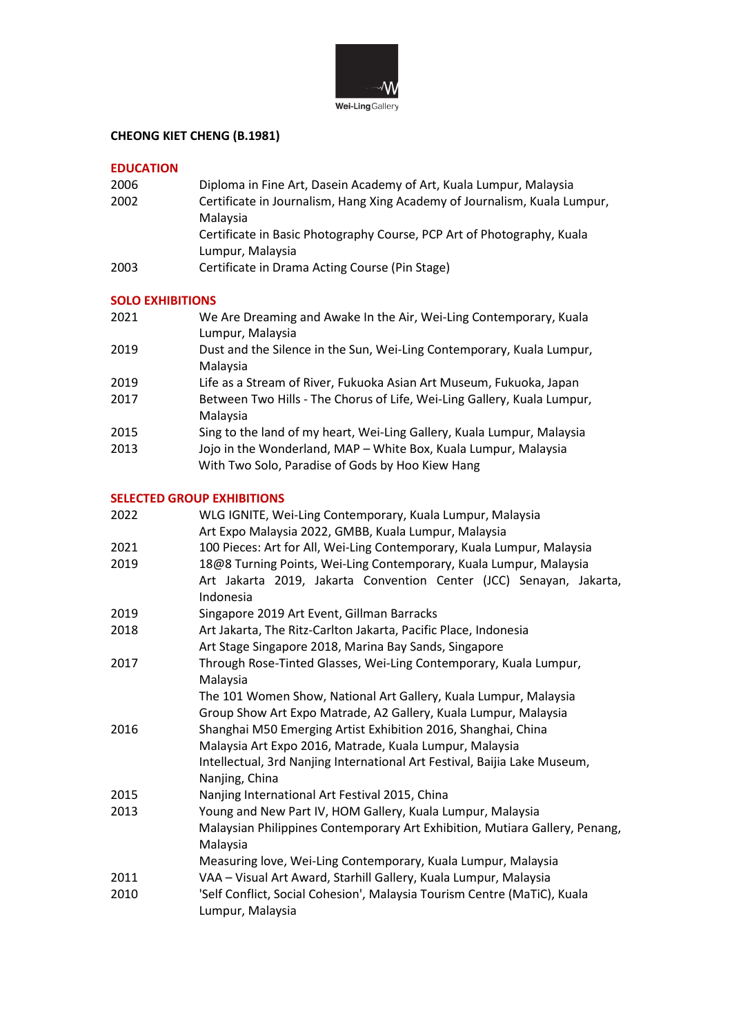

# **CHEONG KIET CHENG (B.1981)**

#### **EDUCATION**

| 2006 | Diploma in Fine Art, Dasein Academy of Art, Kuala Lumpur, Malaysia        |
|------|---------------------------------------------------------------------------|
| 2002 | Certificate in Journalism, Hang Xing Academy of Journalism, Kuala Lumpur, |
|      | Malaysia                                                                  |
|      | Certificate in Basic Photography Course, PCP Art of Photography, Kuala    |
|      | Lumpur, Malaysia                                                          |
| 2003 | Certificate in Drama Acting Course (Pin Stage)                            |

## **SOLO EXHIBITIONS**

| 2021 | We Are Dreaming and Awake In the Air, Wei-Ling Contemporary, Kuala<br>Lumpur, Malaysia                              |
|------|---------------------------------------------------------------------------------------------------------------------|
| 2019 | Dust and the Silence in the Sun, Wei-Ling Contemporary, Kuala Lumpur,<br>Malaysia                                   |
| 2019 | Life as a Stream of River, Fukuoka Asian Art Museum, Fukuoka, Japan                                                 |
| 2017 | Between Two Hills - The Chorus of Life, Wei-Ling Gallery, Kuala Lumpur,<br>Malaysia                                 |
| 2015 | Sing to the land of my heart, Wei-Ling Gallery, Kuala Lumpur, Malaysia                                              |
| 2013 | Jojo in the Wonderland, MAP - White Box, Kuala Lumpur, Malaysia<br>With Two Solo, Paradise of Gods by Hoo Kiew Hang |

### **SELECTED GROUP EXHIBITIONS**

| 2022 | WLG IGNITE, Wei-Ling Contemporary, Kuala Lumpur, Malaysia                   |
|------|-----------------------------------------------------------------------------|
|      | Art Expo Malaysia 2022, GMBB, Kuala Lumpur, Malaysia                        |
| 2021 | 100 Pieces: Art for All, Wei-Ling Contemporary, Kuala Lumpur, Malaysia      |
| 2019 | 18@8 Turning Points, Wei-Ling Contemporary, Kuala Lumpur, Malaysia          |
|      | Art Jakarta 2019, Jakarta Convention Center (JCC) Senayan, Jakarta,         |
|      | Indonesia                                                                   |
| 2019 | Singapore 2019 Art Event, Gillman Barracks                                  |
| 2018 | Art Jakarta, The Ritz-Carlton Jakarta, Pacific Place, Indonesia             |
|      | Art Stage Singapore 2018, Marina Bay Sands, Singapore                       |
| 2017 | Through Rose-Tinted Glasses, Wei-Ling Contemporary, Kuala Lumpur,           |
|      | Malaysia                                                                    |
|      | The 101 Women Show, National Art Gallery, Kuala Lumpur, Malaysia            |
|      | Group Show Art Expo Matrade, A2 Gallery, Kuala Lumpur, Malaysia             |
| 2016 | Shanghai M50 Emerging Artist Exhibition 2016, Shanghai, China               |
|      | Malaysia Art Expo 2016, Matrade, Kuala Lumpur, Malaysia                     |
|      | Intellectual, 3rd Nanjing International Art Festival, Baijia Lake Museum,   |
|      | Nanjing, China                                                              |
| 2015 | Nanjing International Art Festival 2015, China                              |
| 2013 | Young and New Part IV, HOM Gallery, Kuala Lumpur, Malaysia                  |
|      | Malaysian Philippines Contemporary Art Exhibition, Mutiara Gallery, Penang, |
|      | Malaysia                                                                    |
|      | Measuring love, Wei-Ling Contemporary, Kuala Lumpur, Malaysia               |
| 2011 | VAA - Visual Art Award, Starhill Gallery, Kuala Lumpur, Malaysia            |
| 2010 | 'Self Conflict, Social Cohesion', Malaysia Tourism Centre (MaTiC), Kuala    |
|      | Lumpur, Malaysia                                                            |